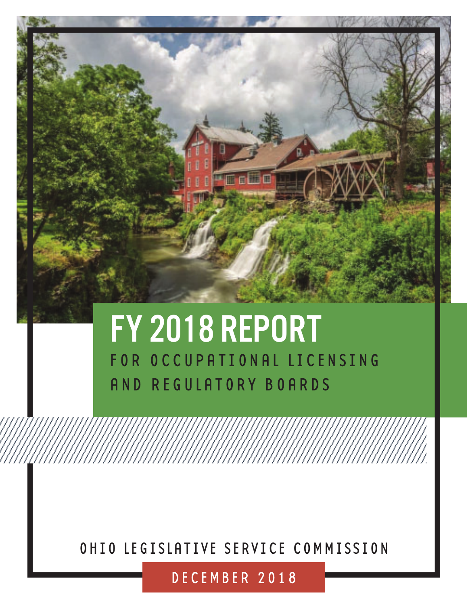

# FY 2018 REPORT FOR OCCUPATIONAL LICENSING AND REGULATORY BOARDS

OHIO LEGISLATIVE SERVICE COMMISSION

DECEMBER 2018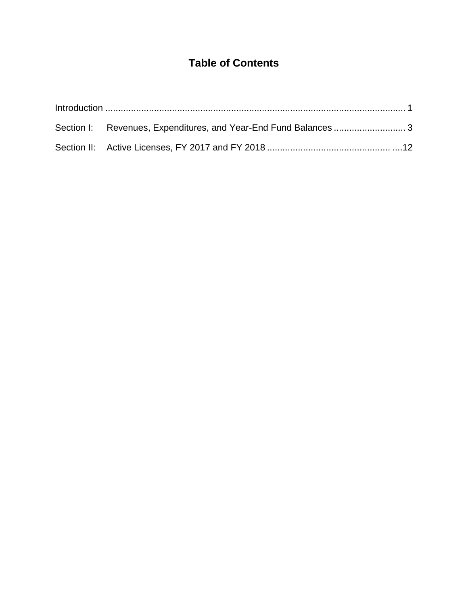# **Table of Contents**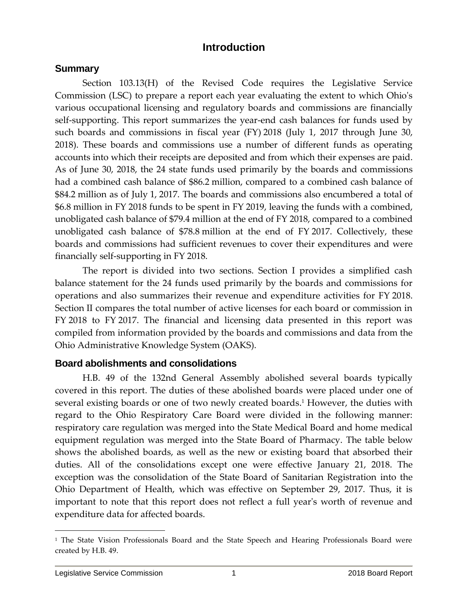# **Introduction**

## **Summary**

Section 103.13(H) of the Revised Code requires the Legislative Service Commission (LSC) to prepare a report each year evaluating the extent to which Ohio's various occupational licensing and regulatory boards and commissions are financially self-supporting. This report summarizes the year-end cash balances for funds used by such boards and commissions in fiscal year (FY) 2018 (July 1, 2017 through June 30, 2018). These boards and commissions use a number of different funds as operating accounts into which their receipts are deposited and from which their expenses are paid. As of June 30, 2018, the 24 state funds used primarily by the boards and commissions had a combined cash balance of \$86.2 million, compared to a combined cash balance of \$84.2 million as of July 1, 2017. The boards and commissions also encumbered a total of \$6.8 million in FY 2018 funds to be spent in FY 2019, leaving the funds with a combined, unobligated cash balance of \$79.4 million at the end of FY 2018, compared to a combined unobligated cash balance of \$78.8 million at the end of FY 2017. Collectively, these boards and commissions had sufficient revenues to cover their expenditures and were financially self-supporting in FY 2018.

The report is divided into two sections. Section I provides a simplified cash balance statement for the 24 funds used primarily by the boards and commissions for operations and also summarizes their revenue and expenditure activities for FY 2018. Section II compares the total number of active licenses for each board or commission in FY 2018 to FY 2017. The financial and licensing data presented in this report was compiled from information provided by the boards and commissions and data from the Ohio Administrative Knowledge System (OAKS).

## **Board abolishments and consolidations**

H.B. 49 of the 132nd General Assembly abolished several boards typically covered in this report. The duties of these abolished boards were placed under one of several existing boards or one of two newly created boards. <sup>1</sup> However, the duties with regard to the Ohio Respiratory Care Board were divided in the following manner: respiratory care regulation was merged into the State Medical Board and home medical equipment regulation was merged into the State Board of Pharmacy. The table below shows the abolished boards, as well as the new or existing board that absorbed their duties. All of the consolidations except one were effective January 21, 2018. The exception was the consolidation of the State Board of Sanitarian Registration into the Ohio Department of Health, which was effective on September 29, 2017. Thus, it is important to note that this report does not reflect a full year's worth of revenue and expenditure data for affected boards.

<sup>&</sup>lt;sup>1</sup> The State Vision Professionals Board and the State Speech and Hearing Professionals Board were created by H.B. 49.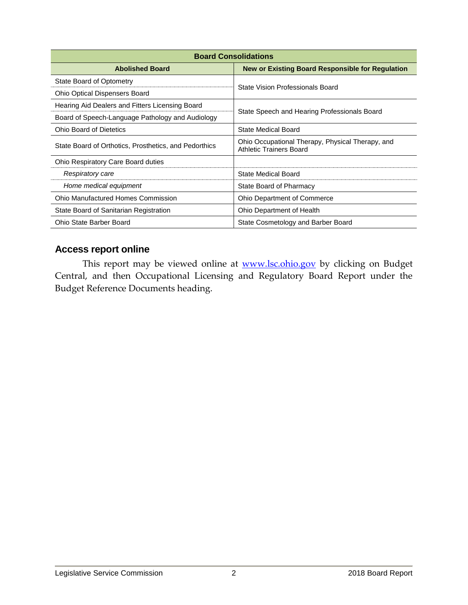| <b>Board Consolidations</b>                           |                                                                             |  |  |  |
|-------------------------------------------------------|-----------------------------------------------------------------------------|--|--|--|
| <b>Abolished Board</b>                                | <b>New or Existing Board Responsible for Regulation</b>                     |  |  |  |
| State Board of Optometry                              | State Vision Professionals Board                                            |  |  |  |
| <b>Ohio Optical Dispensers Board</b>                  |                                                                             |  |  |  |
| Hearing Aid Dealers and Fitters Licensing Board       | State Speech and Hearing Professionals Board                                |  |  |  |
| Board of Speech-Language Pathology and Audiology      |                                                                             |  |  |  |
| <b>Ohio Board of Dietetics</b>                        | State Medical Board                                                         |  |  |  |
| State Board of Orthotics, Prosthetics, and Pedorthics | Ohio Occupational Therapy, Physical Therapy, and<br>Athletic Trainers Board |  |  |  |
| Ohio Respiratory Care Board duties                    |                                                                             |  |  |  |
| Respiratory care                                      | State Medical Board                                                         |  |  |  |
| Home medical equipment                                | State Board of Pharmacy                                                     |  |  |  |
| <b>Ohio Manufactured Homes Commission</b>             | <b>Ohio Department of Commerce</b>                                          |  |  |  |
| State Board of Sanitarian Registration                | Ohio Department of Health                                                   |  |  |  |
| Ohio State Barber Board                               | State Cosmetology and Barber Board                                          |  |  |  |

# **Access report online**

This report may be viewed online at **[www.lsc.ohio.gov](file://///ohio/FISCAL/Board%20Reports/2016/www.lsc.ohio.gov)** by clicking on Budget Central, and then Occupational Licensing and Regulatory Board Report under the Budget Reference Documents heading.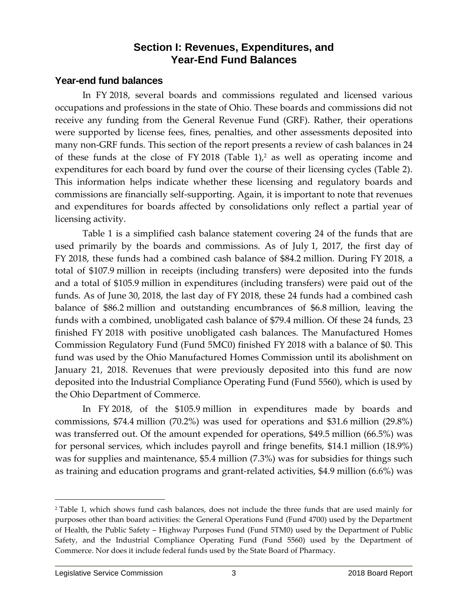# **Section I: Revenues, Expenditures, and Year-End Fund Balances**

## **Year-end fund balances**

In FY 2018, several boards and commissions regulated and licensed various occupations and professions in the state of Ohio. These boards and commissions did not receive any funding from the General Revenue Fund (GRF). Rather, their operations were supported by license fees, fines, penalties, and other assessments deposited into many non-GRF funds. This section of the report presents a review of cash balances in 24 of these funds at the close of FY 2018 (Table 1),<sup>2</sup> as well as operating income and expenditures for each board by fund over the course of their licensing cycles (Table 2). This information helps indicate whether these licensing and regulatory boards and commissions are financially self-supporting. Again, it is important to note that revenues and expenditures for boards affected by consolidations only reflect a partial year of licensing activity.

Table 1 is a simplified cash balance statement covering 24 of the funds that are used primarily by the boards and commissions. As of July 1, 2017, the first day of FY 2018, these funds had a combined cash balance of \$84.2 million. During FY 2018, a total of \$107.9 million in receipts (including transfers) were deposited into the funds and a total of \$105.9 million in expenditures (including transfers) were paid out of the funds. As of June 30, 2018, the last day of FY 2018, these 24 funds had a combined cash balance of \$86.2 million and outstanding encumbrances of \$6.8 million, leaving the funds with a combined, unobligated cash balance of \$79.4 million. Of these 24 funds, 23 finished FY 2018 with positive unobligated cash balances. The Manufactured Homes Commission Regulatory Fund (Fund 5MC0) finished FY 2018 with a balance of \$0. This fund was used by the Ohio Manufactured Homes Commission until its abolishment on January 21, 2018. Revenues that were previously deposited into this fund are now deposited into the Industrial Compliance Operating Fund (Fund 5560), which is used by the Ohio Department of Commerce.

In FY 2018, of the \$105.9 million in expenditures made by boards and commissions, \$74.4 million (70.2%) was used for operations and \$31.6 million (29.8%) was transferred out. Of the amount expended for operations, \$49.5 million (66.5%) was for personal services, which includes payroll and fringe benefits, \$14.1 million (18.9%) was for supplies and maintenance, \$5.4 million (7.3%) was for subsidies for things such as training and education programs and grant-related activities, \$4.9 million (6.6%) was

<sup>2</sup> Table 1, which shows fund cash balances, does not include the three funds that are used mainly for purposes other than board activities: the General Operations Fund (Fund 4700) used by the Department of Health, the Public Safety – Highway Purposes Fund (Fund 5TM0) used by the Department of Public Safety, and the Industrial Compliance Operating Fund (Fund 5560) used by the Department of Commerce. Nor does it include federal funds used by the State Board of Pharmacy.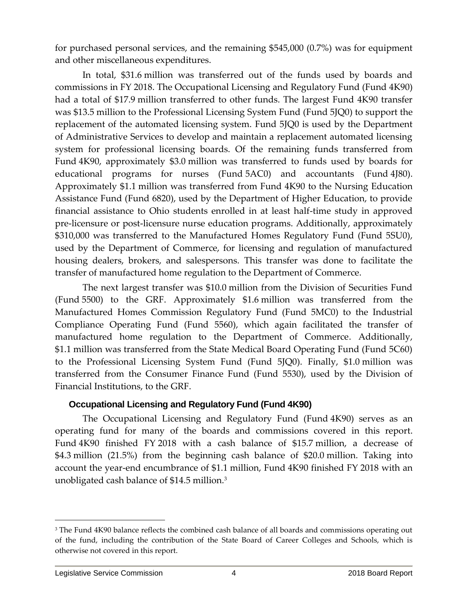for purchased personal services, and the remaining \$545,000 (0.7%) was for equipment and other miscellaneous expenditures.

In total, \$31.6 million was transferred out of the funds used by boards and commissions in FY 2018. The Occupational Licensing and Regulatory Fund (Fund 4K90) had a total of \$17.9 million transferred to other funds. The largest Fund 4K90 transfer was \$13.5 million to the Professional Licensing System Fund (Fund 5JQ0) to support the replacement of the automated licensing system. Fund 5JQ0 is used by the Department of Administrative Services to develop and maintain a replacement automated licensing system for professional licensing boards. Of the remaining funds transferred from Fund 4K90, approximately \$3.0 million was transferred to funds used by boards for educational programs for nurses (Fund 5AC0) and accountants (Fund 4J80). Approximately \$1.1 million was transferred from Fund 4K90 to the Nursing Education Assistance Fund (Fund 6820), used by the Department of Higher Education, to provide financial assistance to Ohio students enrolled in at least half-time study in approved pre-licensure or post-licensure nurse education programs. Additionally, approximately \$310,000 was transferred to the Manufactured Homes Regulatory Fund (Fund 5SU0), used by the Department of Commerce, for licensing and regulation of manufactured housing dealers, brokers, and salespersons. This transfer was done to facilitate the transfer of manufactured home regulation to the Department of Commerce.

The next largest transfer was \$10.0 million from the Division of Securities Fund (Fund 5500) to the GRF. Approximately \$1.6 million was transferred from the Manufactured Homes Commission Regulatory Fund (Fund 5MC0) to the Industrial Compliance Operating Fund (Fund 5560), which again facilitated the transfer of manufactured home regulation to the Department of Commerce. Additionally, \$1.1 million was transferred from the State Medical Board Operating Fund (Fund 5C60) to the Professional Licensing System Fund (Fund 5JQ0). Finally, \$1.0 million was transferred from the Consumer Finance Fund (Fund 5530), used by the Division of Financial Institutions, to the GRF.

#### **Occupational Licensing and Regulatory Fund (Fund 4K90)**

The Occupational Licensing and Regulatory Fund (Fund 4K90) serves as an operating fund for many of the boards and commissions covered in this report. Fund 4K90 finished FY 2018 with a cash balance of \$15.7 million, a decrease of \$4.3 million (21.5%) from the beginning cash balance of \$20.0 million. Taking into account the year-end encumbrance of \$1.1 million, Fund 4K90 finished FY 2018 with an unobligated cash balance of \$14.5 million. 3

<sup>&</sup>lt;sup>3</sup> The Fund 4K90 balance reflects the combined cash balance of all boards and commissions operating out of the fund, including the contribution of the State Board of Career Colleges and Schools, which is otherwise not covered in this report.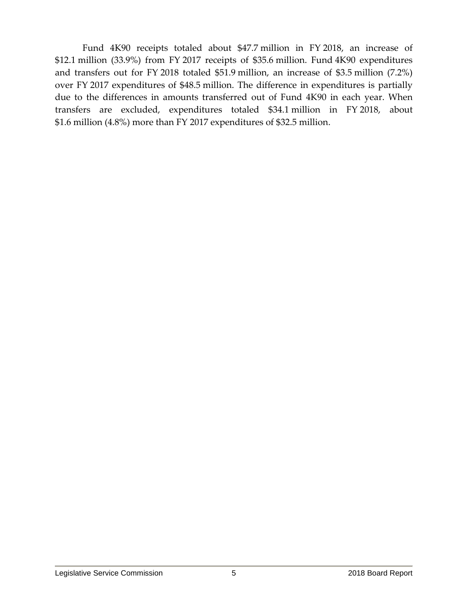Fund 4K90 receipts totaled about \$47.7 million in FY 2018, an increase of \$12.1 million (33.9%) from FY 2017 receipts of \$35.6 million. Fund 4K90 expenditures and transfers out for FY 2018 totaled \$51.9 million, an increase of \$3.5 million (7.2%) over FY 2017 expenditures of \$48.5 million. The difference in expenditures is partially due to the differences in amounts transferred out of Fund 4K90 in each year. When transfers are excluded, expenditures totaled \$34.1 million in FY 2018, about \$1.6 million (4.8%) more than FY 2017 expenditures of \$32.5 million.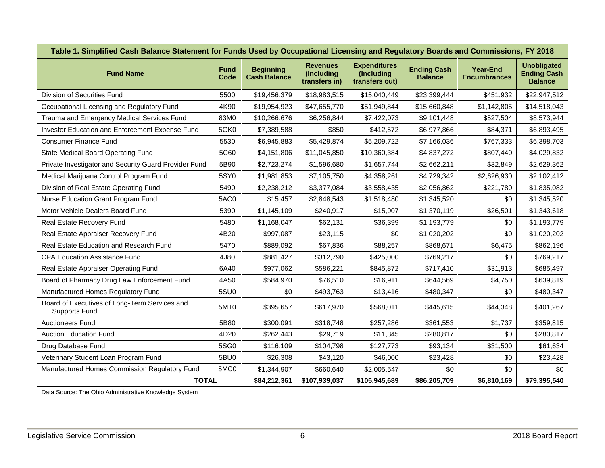| Table 1. Simplified Cash Balance Statement for Funds Used by Occupational Licensing and Regulatory Boards and Commissions, FY 2018 |                     |                                         |                                                |                                                     |                                      |                                        |                                                            |
|------------------------------------------------------------------------------------------------------------------------------------|---------------------|-----------------------------------------|------------------------------------------------|-----------------------------------------------------|--------------------------------------|----------------------------------------|------------------------------------------------------------|
| <b>Fund Name</b>                                                                                                                   | <b>Fund</b><br>Code | <b>Beginning</b><br><b>Cash Balance</b> | <b>Revenues</b><br>(Including<br>transfers in) | <b>Expenditures</b><br>(Including<br>transfers out) | <b>Ending Cash</b><br><b>Balance</b> | <b>Year-End</b><br><b>Encumbrances</b> | <b>Unobligated</b><br><b>Ending Cash</b><br><b>Balance</b> |
| Division of Securities Fund                                                                                                        | 5500                | \$19,456,379                            | \$18,983,515                                   | \$15,040,449                                        | \$23,399,444                         | \$451,932                              | \$22,947,512                                               |
| Occupational Licensing and Regulatory Fund                                                                                         | 4K90                | \$19,954,923                            | \$47,655,770                                   | \$51,949,844                                        | \$15,660,848                         | \$1,142,805                            | \$14,518,043                                               |
| Trauma and Emergency Medical Services Fund                                                                                         | 83M0                | \$10,266,676                            | \$6,256,844                                    | \$7,422,073                                         | \$9,101,448                          | \$527,504                              | \$8,573,944                                                |
| Investor Education and Enforcement Expense Fund                                                                                    | 5GK0                | \$7,389,588                             | \$850                                          | \$412,572                                           | \$6,977,866                          | \$84,371                               | \$6,893,495                                                |
| <b>Consumer Finance Fund</b>                                                                                                       | 5530                | \$6,945,883                             | \$5,429,874                                    | \$5,209,722                                         | \$7,166,036                          | \$767,333                              | \$6,398,703                                                |
| State Medical Board Operating Fund                                                                                                 | 5C60                | \$4,151,806                             | \$11,045,850                                   | \$10,360,384                                        | \$4,837,272                          | \$807,440                              | \$4,029,832                                                |
| Private Investigator and Security Guard Provider Fund                                                                              | 5B90                | \$2,723,274                             | \$1,596,680                                    | \$1,657,744                                         | \$2,662,211                          | \$32,849                               | \$2,629,362                                                |
| Medical Marijuana Control Program Fund                                                                                             | 5SY0                | \$1,981,853                             | \$7,105,750                                    | \$4,358,261                                         | \$4,729,342                          | \$2,626,930                            | \$2,102,412                                                |
| Division of Real Estate Operating Fund                                                                                             | 5490                | \$2,238,212                             | \$3,377,084                                    | \$3,558,435                                         | \$2,056,862                          | \$221,780                              | \$1,835,082                                                |
| Nurse Education Grant Program Fund                                                                                                 | 5AC0                | \$15,457                                | \$2,848,543                                    | \$1,518,480                                         | \$1,345,520                          | \$0                                    | \$1,345,520                                                |
| Motor Vehicle Dealers Board Fund                                                                                                   | 5390                | \$1,145,109                             | \$240,917                                      | \$15,907                                            | \$1,370,119                          | \$26,501                               | \$1,343,618                                                |
| Real Estate Recovery Fund                                                                                                          | 5480                | \$1,168,047                             | \$62,131                                       | \$36,399                                            | \$1,193,779                          | \$0                                    | \$1,193,779                                                |
| Real Estate Appraiser Recovery Fund                                                                                                | 4B20                | \$997,087                               | \$23,115                                       | \$0                                                 | \$1,020,202                          | \$0                                    | \$1,020,202                                                |
| Real Estate Education and Research Fund                                                                                            | 5470                | \$889,092                               | \$67,836                                       | \$88,257                                            | \$868,671                            | \$6,475                                | \$862,196                                                  |
| <b>CPA Education Assistance Fund</b>                                                                                               | 4J80                | \$881,427                               | \$312,790                                      | \$425,000                                           | \$769,217                            | \$0                                    | \$769,217                                                  |
| Real Estate Appraiser Operating Fund                                                                                               | 6A40                | \$977,062                               | \$586,221                                      | \$845,872                                           | \$717,410                            | \$31,913                               | \$685,497                                                  |
| Board of Pharmacy Drug Law Enforcement Fund                                                                                        | 4A50                | \$584,970                               | \$76,510                                       | \$16,911                                            | \$644,569                            | \$4,750                                | \$639,819                                                  |
| Manufactured Homes Regulatory Fund                                                                                                 | 5SU0                | \$0                                     | \$493,763                                      | \$13,416                                            | \$480,347                            | \$0                                    | \$480,347                                                  |
| Board of Executives of Long-Term Services and<br><b>Supports Fund</b>                                                              | 5MT0                | \$395,657                               | \$617,970                                      | \$568,011                                           | \$445,615                            | \$44,348                               | \$401,267                                                  |
| <b>Auctioneers Fund</b>                                                                                                            | 5B80                | \$300,091                               | \$318,748                                      | \$257,286                                           | \$361,553                            | \$1,737                                | \$359,815                                                  |
| <b>Auction Education Fund</b>                                                                                                      | 4D20                | \$262,443                               | \$29,719                                       | \$11,345                                            | \$280,817                            | \$0                                    | \$280,817                                                  |
| Drug Database Fund                                                                                                                 | 5SG0                | \$116,109                               | \$104,798                                      | \$127,773                                           | \$93,134                             | \$31,500                               | \$61,634                                                   |
| Veterinary Student Loan Program Fund                                                                                               | 5BU0                | \$26,308                                | \$43,120                                       | \$46,000                                            | \$23,428                             | \$0                                    | \$23,428                                                   |
| Manufactured Homes Commission Regulatory Fund                                                                                      | 5MC0                | \$1,344,907                             | \$660,640                                      | \$2,005,547                                         | \$0                                  | \$0                                    | \$0                                                        |
| <b>TOTAL</b>                                                                                                                       |                     | \$84,212,361                            | \$107,939,037                                  | \$105,945,689                                       | \$86,205,709                         | \$6,810,169                            | \$79,395,540                                               |

Data Source: The Ohio Administrative Knowledge System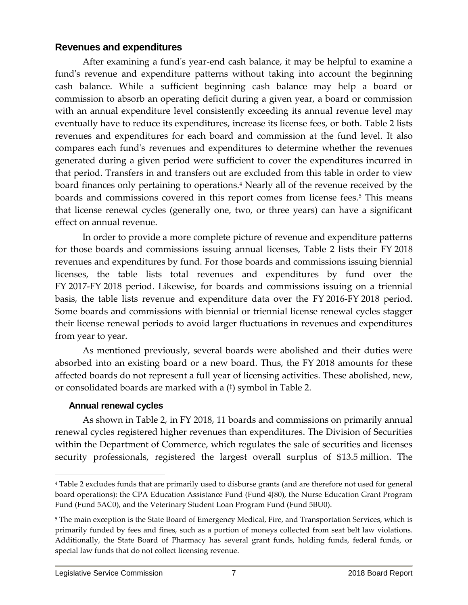## **Revenues and expenditures**

After examining a fund's year-end cash balance, it may be helpful to examine a fund's revenue and expenditure patterns without taking into account the beginning cash balance. While a sufficient beginning cash balance may help a board or commission to absorb an operating deficit during a given year, a board or commission with an annual expenditure level consistently exceeding its annual revenue level may eventually have to reduce its expenditures, increase its license fees, or both. Table 2 lists revenues and expenditures for each board and commission at the fund level. It also compares each fund's revenues and expenditures to determine whether the revenues generated during a given period were sufficient to cover the expenditures incurred in that period. Transfers in and transfers out are excluded from this table in order to view board finances only pertaining to operations.<sup>4</sup> Nearly all of the revenue received by the boards and commissions covered in this report comes from license fees.<sup>5</sup> This means that license renewal cycles (generally one, two, or three years) can have a significant effect on annual revenue.

In order to provide a more complete picture of revenue and expenditure patterns for those boards and commissions issuing annual licenses, Table 2 lists their FY 2018 revenues and expenditures by fund. For those boards and commissions issuing biennial licenses, the table lists total revenues and expenditures by fund over the FY 2017-FY 2018 period. Likewise, for boards and commissions issuing on a triennial basis, the table lists revenue and expenditure data over the FY 2016-FY 2018 period. Some boards and commissions with biennial or triennial license renewal cycles stagger their license renewal periods to avoid larger fluctuations in revenues and expenditures from year to year.

As mentioned previously, several boards were abolished and their duties were absorbed into an existing board or a new board. Thus, the FY 2018 amounts for these affected boards do not represent a full year of licensing activities. These abolished, new, or consolidated boards are marked with a ( ‡ ) symbol in Table 2.

#### **Annual renewal cycles**

As shown in Table 2, in FY 2018, 11 boards and commissions on primarily annual renewal cycles registered higher revenues than expenditures. The Division of Securities within the Department of Commerce, which regulates the sale of securities and licenses security professionals, registered the largest overall surplus of \$13.5 million. The

<sup>4</sup> Table 2 excludes funds that are primarily used to disburse grants (and are therefore not used for general board operations): the CPA Education Assistance Fund (Fund 4J80), the Nurse Education Grant Program Fund (Fund 5AC0), and the Veterinary Student Loan Program Fund (Fund 5BU0).

<sup>&</sup>lt;sup>5</sup> The main exception is the State Board of Emergency Medical, Fire, and Transportation Services, which is primarily funded by fees and fines, such as a portion of moneys collected from seat belt law violations. Additionally, the State Board of Pharmacy has several grant funds, holding funds, federal funds, or special law funds that do not collect licensing revenue.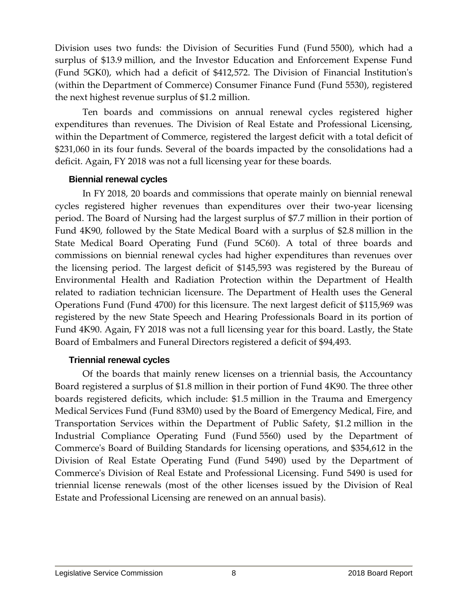Division uses two funds: the Division of Securities Fund (Fund 5500), which had a surplus of \$13.9 million, and the Investor Education and Enforcement Expense Fund (Fund 5GK0), which had a deficit of \$412,572. The Division of Financial Institution's (within the Department of Commerce) Consumer Finance Fund (Fund 5530), registered the next highest revenue surplus of \$1.2 million.

Ten boards and commissions on annual renewal cycles registered higher expenditures than revenues. The Division of Real Estate and Professional Licensing, within the Department of Commerce, registered the largest deficit with a total deficit of \$231,060 in its four funds. Several of the boards impacted by the consolidations had a deficit. Again, FY 2018 was not a full licensing year for these boards.

#### **Biennial renewal cycles**

In FY 2018, 20 boards and commissions that operate mainly on biennial renewal cycles registered higher revenues than expenditures over their two-year licensing period. The Board of Nursing had the largest surplus of \$7.7 million in their portion of Fund 4K90, followed by the State Medical Board with a surplus of \$2.8 million in the State Medical Board Operating Fund (Fund 5C60). A total of three boards and commissions on biennial renewal cycles had higher expenditures than revenues over the licensing period. The largest deficit of \$145,593 was registered by the Bureau of Environmental Health and Radiation Protection within the Department of Health related to radiation technician licensure. The Department of Health uses the General Operations Fund (Fund 4700) for this licensure. The next largest deficit of \$115,969 was registered by the new State Speech and Hearing Professionals Board in its portion of Fund 4K90. Again, FY 2018 was not a full licensing year for this board. Lastly, the State Board of Embalmers and Funeral Directors registered a deficit of \$94,493.

#### **Triennial renewal cycles**

Of the boards that mainly renew licenses on a triennial basis, the Accountancy Board registered a surplus of \$1.8 million in their portion of Fund 4K90. The three other boards registered deficits, which include: \$1.5 million in the Trauma and Emergency Medical Services Fund (Fund 83M0) used by the Board of Emergency Medical, Fire, and Transportation Services within the Department of Public Safety, \$1.2 million in the Industrial Compliance Operating Fund (Fund 5560) used by the Department of Commerce's Board of Building Standards for licensing operations, and \$354,612 in the Division of Real Estate Operating Fund (Fund 5490) used by the Department of Commerce's Division of Real Estate and Professional Licensing. Fund 5490 is used for triennial license renewals (most of the other licenses issued by the Division of Real Estate and Professional Licensing are renewed on an annual basis).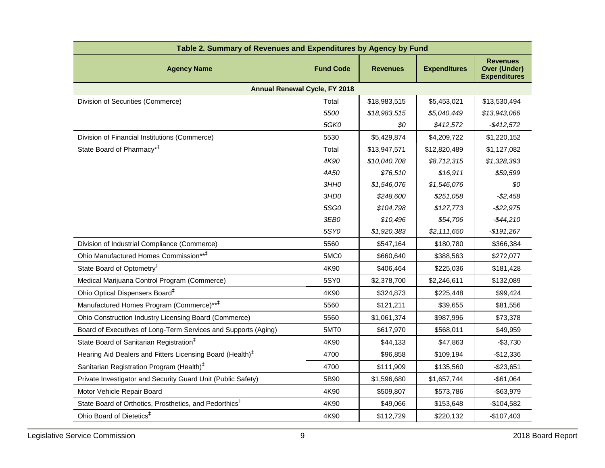| Table 2. Summary of Revenues and Expenditures by Agency by Fund       |                  |                 |                     |                                                               |  |  |  |
|-----------------------------------------------------------------------|------------------|-----------------|---------------------|---------------------------------------------------------------|--|--|--|
| <b>Agency Name</b>                                                    | <b>Fund Code</b> | <b>Revenues</b> | <b>Expenditures</b> | <b>Revenues</b><br><b>Over (Under)</b><br><b>Expenditures</b> |  |  |  |
| <b>Annual Renewal Cycle, FY 2018</b>                                  |                  |                 |                     |                                                               |  |  |  |
| Division of Securities (Commerce)                                     | Total            | \$18,983,515    | \$5,453,021         | \$13,530,494                                                  |  |  |  |
|                                                                       | 5500             | \$18,983,515    | \$5,040,449         | \$13,943,066                                                  |  |  |  |
|                                                                       | <b>5GK0</b>      | \$0             | \$412,572           | $-$ \$412,572                                                 |  |  |  |
| Division of Financial Institutions (Commerce)                         | 5530             | \$5,429,874     | \$4,209,722         | \$1,220,152                                                   |  |  |  |
| State Board of Pharmacy <sup>*†</sup>                                 | Total            | \$13,947,571    | \$12,820,489        | \$1,127,082                                                   |  |  |  |
|                                                                       | 4K90             | \$10,040,708    | \$8,712,315         | \$1,328,393                                                   |  |  |  |
|                                                                       | 4A50             | \$76,510        | \$16,911            | \$59,599                                                      |  |  |  |
|                                                                       | 3HHO             | \$1,546,076     | \$1,546,076         | \$0                                                           |  |  |  |
|                                                                       | 3HD0             | \$248,600       | \$251,058           | $- $2,458$                                                    |  |  |  |
|                                                                       | 5SG0             | \$104,798       | \$127,773           | $-$ \$22,975                                                  |  |  |  |
|                                                                       | 3EB0             | \$10,496        | \$54,706            | $-$44,210$                                                    |  |  |  |
|                                                                       | 5SY0             | \$1,920,383     | \$2,111,650         | $-$191,267$                                                   |  |  |  |
| Division of Industrial Compliance (Commerce)                          | 5560             | \$547,164       | \$180,780           | \$366,384                                                     |  |  |  |
| Ohio Manufactured Homes Commission** <sup>‡</sup>                     | 5MC0             | \$660,640       | \$388,563           | \$272,077                                                     |  |  |  |
| State Board of Optometry <sup>#</sup>                                 | 4K90             | \$406,464       | \$225,036           | \$181,428                                                     |  |  |  |
| Medical Marijuana Control Program (Commerce)                          | 5SY0             | \$2,378,700     | \$2,246,611         | \$132,089                                                     |  |  |  |
| Ohio Optical Dispensers Board <sup>#</sup>                            | 4K90             | \$324,873       | \$225,448           | \$99,424                                                      |  |  |  |
| Manufactured Homes Program (Commerce)** <sup>‡</sup>                  | 5560             | \$121,211       | \$39,655            | \$81,556                                                      |  |  |  |
| Ohio Construction Industry Licensing Board (Commerce)                 | 5560             | \$1,061,374     | \$987,996           | \$73,378                                                      |  |  |  |
| Board of Executives of Long-Term Services and Supports (Aging)        | 5MT0             | \$617,970       | \$568,011           | \$49,959                                                      |  |  |  |
| State Board of Sanitarian Registration <sup>#</sup>                   | 4K90             | \$44,133        | \$47,863            | $-$3,730$                                                     |  |  |  |
| Hearing Aid Dealers and Fitters Licensing Board (Health) <sup>‡</sup> | 4700             | \$96,858        | \$109,194           | $-$12,336$                                                    |  |  |  |
| Sanitarian Registration Program (Health) <sup>‡</sup>                 | 4700             | \$111,909       | \$135,560           | $-$23,651$                                                    |  |  |  |
| Private Investigator and Security Guard Unit (Public Safety)          | 5B90             | \$1,596,680     | \$1,657,744         | $-$61,064$                                                    |  |  |  |
| Motor Vehicle Repair Board                                            | 4K90             | \$509,807       | \$573,786           | $-$ \$63,979                                                  |  |  |  |
| State Board of Orthotics, Prosthetics, and Pedorthics <sup>‡</sup>    | 4K90             | \$49,066        | \$153,648           | $-$104,582$                                                   |  |  |  |
| Ohio Board of Dietetics <sup>#</sup>                                  | 4K90             | \$112,729       | \$220,132           | $-$107,403$                                                   |  |  |  |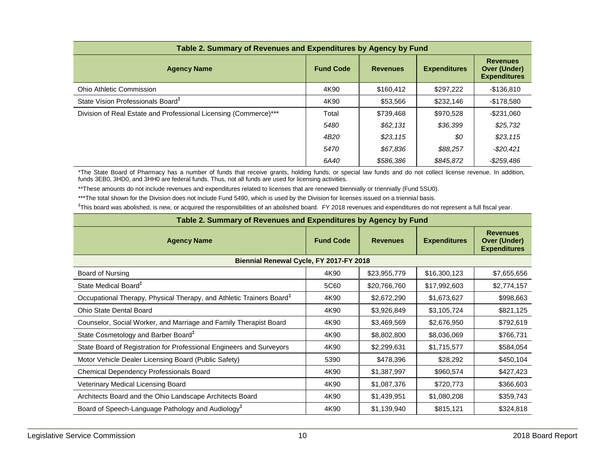| Table 2. Summary of Revenues and Expenditures by Agency by Fund  |                  |                 |                     |                                                               |  |  |  |
|------------------------------------------------------------------|------------------|-----------------|---------------------|---------------------------------------------------------------|--|--|--|
| <b>Agency Name</b>                                               | <b>Fund Code</b> | <b>Revenues</b> | <b>Expenditures</b> | <b>Revenues</b><br><b>Over (Under)</b><br><b>Expenditures</b> |  |  |  |
| <b>Ohio Athletic Commission</b>                                  | 4K90             | \$160,412       | \$297,222           | $-$136,810$                                                   |  |  |  |
| State Vision Professionals Board <sup>+</sup>                    | 4K90             | \$53,566        | \$232,146           | $-$178,580$                                                   |  |  |  |
| Division of Real Estate and Professional Licensing (Commerce)*** | Total            | \$739,468       | \$970,528           | $-$ \$231.060                                                 |  |  |  |
|                                                                  | 5480             | \$62,131        | \$36,399            | \$25,732                                                      |  |  |  |
|                                                                  | 4B <sub>20</sub> | \$23,115        | \$0                 | \$23,115                                                      |  |  |  |
|                                                                  | 5470             | \$67,836        | \$88,257            | $-$ \$20,421                                                  |  |  |  |
|                                                                  | 6A40             | \$586,386       | \$845.872           | $-$ \$259,486                                                 |  |  |  |

\*The State Board of Pharmacy has a number of funds that receive grants, holding funds, or special law funds and do not collect license revenue. In addition, funds 3EB0, 3HD0, and 3HH0 are federal funds. Thus, not all funds are used for licensing activities.

\*\*These amounts do not include revenues and expenditures related to licenses that are renewed biennially or triennially (Fund 5SU0).

\*\*\*The total shown for the Division does not include Fund 5490, which is used by the Division for licenses issued on a triennial basis.

‡ This board was abolished, is new, or acquired the responsibilities of an abolished board. FY 2018 revenues and expenditures do not represent a full fiscal year.

| Table 2. Summary of Revenues and Expenditures by Agency by Fund                  |      |                                                               |              |             |  |  |  |
|----------------------------------------------------------------------------------|------|---------------------------------------------------------------|--------------|-------------|--|--|--|
| <b>Expenditures</b><br><b>Fund Code</b><br><b>Agency Name</b><br><b>Revenues</b> |      | <b>Revenues</b><br><b>Over (Under)</b><br><b>Expenditures</b> |              |             |  |  |  |
| Biennial Renewal Cycle, FY 2017-FY 2018                                          |      |                                                               |              |             |  |  |  |
| Board of Nursing                                                                 | 4K90 | \$23,955,779                                                  | \$16,300,123 | \$7,655,656 |  |  |  |
| State Medical Board <sup>+</sup>                                                 | 5C60 | \$20,766,760                                                  | \$17,992,603 | \$2,774,157 |  |  |  |
| Occupational Therapy, Physical Therapy, and Athletic Trainers Board <sup>‡</sup> | 4K90 | \$2,672,290                                                   | \$1,673,627  | \$998,663   |  |  |  |
| <b>Ohio State Dental Board</b>                                                   | 4K90 | \$3,926,849                                                   | \$3,105,724  | \$821,125   |  |  |  |
| Counselor, Social Worker, and Marriage and Family Therapist Board                | 4K90 | \$3,469,569                                                   | \$2,676,950  | \$792,619   |  |  |  |
| State Cosmetology and Barber Board <sup>#</sup>                                  | 4K90 | \$8,802,800                                                   | \$8,036,069  | \$766,731   |  |  |  |
| State Board of Registration for Professional Engineers and Surveyors             | 4K90 | \$2,299,631                                                   | \$1,715,577  | \$584,054   |  |  |  |
| Motor Vehicle Dealer Licensing Board (Public Safety)                             | 5390 | \$478,396                                                     | \$28,292     | \$450,104   |  |  |  |
| Chemical Dependency Professionals Board                                          | 4K90 | \$1,387,997                                                   | \$960,574    | \$427,423   |  |  |  |
| Veterinary Medical Licensing Board                                               | 4K90 | \$1,087,376                                                   | \$720,773    | \$366,603   |  |  |  |
| Architects Board and the Ohio Landscape Architects Board                         | 4K90 | \$1,439,951                                                   | \$1,080,208  | \$359,743   |  |  |  |
| Board of Speech-Language Pathology and Audiology <sup>+</sup>                    | 4K90 | \$1,139,940                                                   | \$815,121    | \$324,818   |  |  |  |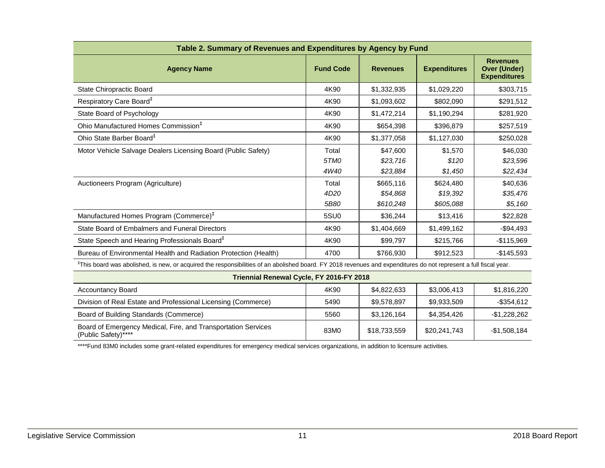| Table 2. Summary of Revenues and Expenditures by Agency by Fund                                                                                                               |                  |                 |                     |                                                               |  |  |
|-------------------------------------------------------------------------------------------------------------------------------------------------------------------------------|------------------|-----------------|---------------------|---------------------------------------------------------------|--|--|
| <b>Agency Name</b>                                                                                                                                                            | <b>Fund Code</b> | <b>Revenues</b> | <b>Expenditures</b> | <b>Revenues</b><br><b>Over (Under)</b><br><b>Expenditures</b> |  |  |
| <b>State Chiropractic Board</b>                                                                                                                                               | 4K90             | \$1,332,935     | \$1,029,220         | \$303,715                                                     |  |  |
| Respiratory Care Board <sup>#</sup>                                                                                                                                           | 4K90             | \$1,093,602     | \$802,090           | \$291,512                                                     |  |  |
| State Board of Psychology                                                                                                                                                     | 4K90             | \$1,472,214     | \$1,190,294         | \$281,920                                                     |  |  |
| Ohio Manufactured Homes Commission <sup>‡</sup>                                                                                                                               | 4K90             | \$654,398       | \$396,879           | \$257,519                                                     |  |  |
| Ohio State Barber Board <sup>#</sup>                                                                                                                                          | 4K90             | \$1,377,058     | \$1,127,030         | \$250,028                                                     |  |  |
| Motor Vehicle Salvage Dealers Licensing Board (Public Safety)                                                                                                                 | Total            | \$47,600        | \$1,570             | \$46,030                                                      |  |  |
|                                                                                                                                                                               | 5TMO             | \$23,716        | \$120               | \$23,596                                                      |  |  |
|                                                                                                                                                                               | 4W40             | \$23,884        | \$1,450             | \$22,434                                                      |  |  |
| Auctioneers Program (Agriculture)                                                                                                                                             | Total            | \$665,116       | \$624,480           | \$40,636                                                      |  |  |
|                                                                                                                                                                               | 4D <sub>20</sub> | \$54,868        | \$19,392            | \$35,476                                                      |  |  |
|                                                                                                                                                                               | 5B80             | \$610,248       | \$605,088           | \$5,160                                                       |  |  |
| Manufactured Homes Program (Commerce) <sup>‡</sup>                                                                                                                            | 5SU0             | \$36,244        | \$13,416            | \$22,828                                                      |  |  |
| State Board of Embalmers and Funeral Directors                                                                                                                                | 4K90             | \$1,404,669     | \$1,499,162         | $-$94,493$                                                    |  |  |
| State Speech and Hearing Professionals Board <sup>#</sup>                                                                                                                     | 4K90             | \$99,797        | \$215,766           | $-$115,969$                                                   |  |  |
| Bureau of Environmental Health and Radiation Protection (Health)                                                                                                              | 4700             | \$766,930       | \$912,523           | $-$145,593$                                                   |  |  |
| <sup>‡</sup> This board was abolished, is new, or acquired the responsibilities of an abolished board. FY 2018 revenues and expenditures do not represent a full fiscal year. |                  |                 |                     |                                                               |  |  |
| Triennial Renewal Cycle, FY 2016-FY 2018                                                                                                                                      |                  |                 |                     |                                                               |  |  |
| <b>Accountancy Board</b>                                                                                                                                                      | 4K90             | \$4,822,633     | \$3,006,413         | \$1,816,220                                                   |  |  |
| Division of Real Estate and Professional Licensing (Commerce)                                                                                                                 | 5490             | \$9,578,897     | \$9,933,509         | $-$ \$354,612                                                 |  |  |
| Board of Building Standards (Commerce)                                                                                                                                        | 5560             | \$3,126,164     | \$4,354,426         | $-$1,228,262$                                                 |  |  |
| Board of Emergency Medical, Fire, and Transportation Services<br>(Public Safety)****                                                                                          | 83M0             | \$18,733,559    | \$20,241,743        | $-$1,508,184$                                                 |  |  |

\*\*\*\*Fund 83M0 includes some grant-related expenditures for emergency medical services organizations, in addition to licensure activities.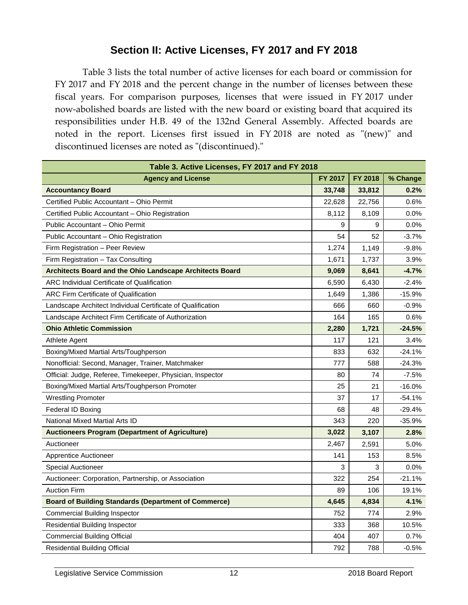# **Section II: Active Licenses, FY 2017 and FY 2018**

Table 3 lists the total number of active licenses for each board or commission for FY 2017 and FY 2018 and the percent change in the number of licenses between these fiscal years. For comparison purposes, licenses that were issued in FY 2017 under now-abolished boards are listed with the new board or existing board that acquired its responsibilities under H.B. 49 of the 132nd General Assembly. Affected boards are noted in the report. Licenses first issued in FY 2018 are noted as "(new)" and discontinued licenses are noted as "(discontinued)."

| Table 3. Active Licenses, FY 2017 and FY 2018               |         |         |          |  |  |
|-------------------------------------------------------------|---------|---------|----------|--|--|
| <b>Agency and License</b>                                   | FY 2017 | FY 2018 | % Change |  |  |
| <b>Accountancy Board</b>                                    | 33,748  | 33,812  | 0.2%     |  |  |
| Certified Public Accountant - Ohio Permit                   | 22,628  | 22,756  | 0.6%     |  |  |
| Certified Public Accountant - Ohio Registration             | 8,112   | 8,109   | 0.0%     |  |  |
| Public Accountant - Ohio Permit                             | 9       | 9       | 0.0%     |  |  |
| Public Accountant - Ohio Registration                       | 54      | 52      | $-3.7%$  |  |  |
| Firm Registration - Peer Review                             | 1,274   | 1,149   | $-9.8%$  |  |  |
| Firm Registration - Tax Consulting                          | 1,671   | 1,737   | 3.9%     |  |  |
| Architects Board and the Ohio Landscape Architects Board    | 9,069   | 8,641   | $-4.7%$  |  |  |
| <b>ARC Individual Certificate of Qualification</b>          | 6,590   | 6,430   | $-2.4%$  |  |  |
| <b>ARC Firm Certificate of Qualification</b>                | 1,649   | 1,386   | $-15.9%$ |  |  |
| Landscape Architect Individual Certificate of Qualification | 666     | 660     | $-0.9%$  |  |  |
| Landscape Architect Firm Certificate of Authorization       | 164     | 165     | 0.6%     |  |  |
| <b>Ohio Athletic Commission</b>                             | 2,280   | 1,721   | $-24.5%$ |  |  |
| Athlete Agent                                               | 117     | 121     | 3.4%     |  |  |
| Boxing/Mixed Martial Arts/Toughperson                       | 833     | 632     | $-24.1%$ |  |  |
| Nonofficial: Second, Manager, Trainer, Matchmaker           | 777     | 588     | $-24.3%$ |  |  |
| Official: Judge, Referee, Timekeeper, Physician, Inspector  | 80      | 74      | $-7.5%$  |  |  |
| Boxing/Mixed Martial Arts/Toughperson Promoter              | 25      | 21      | $-16.0%$ |  |  |
| <b>Wrestling Promoter</b>                                   | 37      | 17      | $-54.1%$ |  |  |
| Federal ID Boxing                                           | 68      | 48      | $-29.4%$ |  |  |
| National Mixed Martial Arts ID                              | 343     | 220     | $-35.9%$ |  |  |
| <b>Auctioneers Program (Department of Agriculture)</b>      | 3,022   | 3,107   | 2.8%     |  |  |
| Auctioneer                                                  | 2,467   | 2,591   | 5.0%     |  |  |
| Apprentice Auctioneer                                       | 141     | 153     | 8.5%     |  |  |
| <b>Special Auctioneer</b>                                   | 3       | 3       | 0.0%     |  |  |
| Auctioneer: Corporation, Partnership, or Association        | 322     | 254     | $-21.1%$ |  |  |
| <b>Auction Firm</b>                                         | 89      | 106     | 19.1%    |  |  |
| <b>Board of Building Standards (Department of Commerce)</b> | 4,645   | 4,834   | 4.1%     |  |  |
| Commercial Building Inspector                               | 752     | 774     | 2.9%     |  |  |
| Residential Building Inspector                              | 333     | 368     | 10.5%    |  |  |
| <b>Commercial Building Official</b>                         | 404     | 407     | 0.7%     |  |  |
| <b>Residential Building Official</b>                        | 792     | 788     | $-0.5%$  |  |  |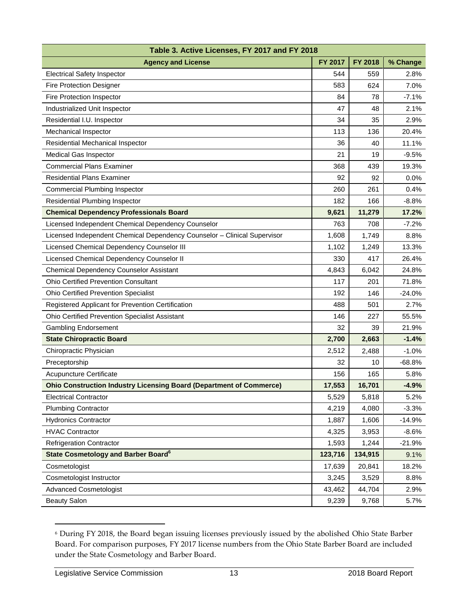| Table 3. Active Licenses, FY 2017 and FY 2018                              |         |         |          |  |  |  |
|----------------------------------------------------------------------------|---------|---------|----------|--|--|--|
| <b>Agency and License</b>                                                  | FY 2017 | FY 2018 | % Change |  |  |  |
| <b>Electrical Safety Inspector</b>                                         | 544     | 559     | 2.8%     |  |  |  |
| <b>Fire Protection Designer</b>                                            | 583     | 624     | 7.0%     |  |  |  |
| Fire Protection Inspector                                                  | 84      | 78      | $-7.1%$  |  |  |  |
| Industrialized Unit Inspector                                              | 47      | 48      | 2.1%     |  |  |  |
| Residential I.U. Inspector                                                 | 34      | 35      | 2.9%     |  |  |  |
| Mechanical Inspector                                                       | 113     | 136     | 20.4%    |  |  |  |
| Residential Mechanical Inspector                                           | 36      | 40      | 11.1%    |  |  |  |
| Medical Gas Inspector                                                      | 21      | 19      | $-9.5%$  |  |  |  |
| <b>Commercial Plans Examiner</b>                                           | 368     | 439     | 19.3%    |  |  |  |
| <b>Residential Plans Examiner</b>                                          | 92      | 92      | 0.0%     |  |  |  |
| <b>Commercial Plumbing Inspector</b>                                       | 260     | 261     | 0.4%     |  |  |  |
| Residential Plumbing Inspector                                             | 182     | 166     | $-8.8%$  |  |  |  |
| <b>Chemical Dependency Professionals Board</b>                             | 9,621   | 11,279  | 17.2%    |  |  |  |
| Licensed Independent Chemical Dependency Counselor                         | 763     | 708     | $-7.2%$  |  |  |  |
| Licensed Independent Chemical Dependency Counselor - Clinical Supervisor   | 1,608   | 1,749   | 8.8%     |  |  |  |
| Licensed Chemical Dependency Counselor III                                 | 1,102   | 1,249   | 13.3%    |  |  |  |
| Licensed Chemical Dependency Counselor II                                  | 330     | 417     | 26.4%    |  |  |  |
| Chemical Dependency Counselor Assistant                                    | 4,843   | 6,042   | 24.8%    |  |  |  |
| <b>Ohio Certified Prevention Consultant</b>                                | 117     | 201     | 71.8%    |  |  |  |
| <b>Ohio Certified Prevention Specialist</b>                                | 192     | 146     | $-24.0%$ |  |  |  |
| Registered Applicant for Prevention Certification                          | 488     | 501     | 2.7%     |  |  |  |
| Ohio Certified Prevention Specialist Assistant                             | 146     | 227     | 55.5%    |  |  |  |
| <b>Gambling Endorsement</b>                                                | 32      | 39      | 21.9%    |  |  |  |
| <b>State Chiropractic Board</b>                                            | 2,700   | 2,663   | $-1.4%$  |  |  |  |
| Chiropractic Physician                                                     | 2,512   | 2,488   | $-1.0%$  |  |  |  |
| Preceptorship                                                              | 32      | 10      | $-68.8%$ |  |  |  |
| Acupuncture Certificate                                                    | 156     | 165     | 5.8%     |  |  |  |
| <b>Ohio Construction Industry Licensing Board (Department of Commerce)</b> | 17,553  | 16,701  | $-4.9%$  |  |  |  |
| <b>Electrical Contractor</b>                                               | 5,529   | 5,818   | 5.2%     |  |  |  |
| <b>Plumbing Contractor</b>                                                 | 4,219   | 4,080   | $-3.3%$  |  |  |  |
| <b>Hydronics Contractor</b>                                                | 1,887   | 1,606   | $-14.9%$ |  |  |  |
| <b>HVAC Contractor</b>                                                     | 4,325   | 3,953   | $-8.6%$  |  |  |  |
| <b>Refrigeration Contractor</b>                                            | 1,593   | 1,244   | $-21.9%$ |  |  |  |
| <b>State Cosmetology and Barber Board<sup>6</sup></b>                      | 123,716 | 134,915 | 9.1%     |  |  |  |
| Cosmetologist                                                              | 17,639  | 20,841  | 18.2%    |  |  |  |
| Cosmetologist Instructor                                                   | 3,245   | 3,529   | 8.8%     |  |  |  |
| <b>Advanced Cosmetologist</b>                                              | 43,462  | 44,704  | 2.9%     |  |  |  |
| <b>Beauty Salon</b>                                                        | 9,239   | 9,768   | 5.7%     |  |  |  |

<sup>6</sup> During FY 2018, the Board began issuing licenses previously issued by the abolished Ohio State Barber Board. For comparison purposes, FY 2017 license numbers from the Ohio State Barber Board are included under the State Cosmetology and Barber Board.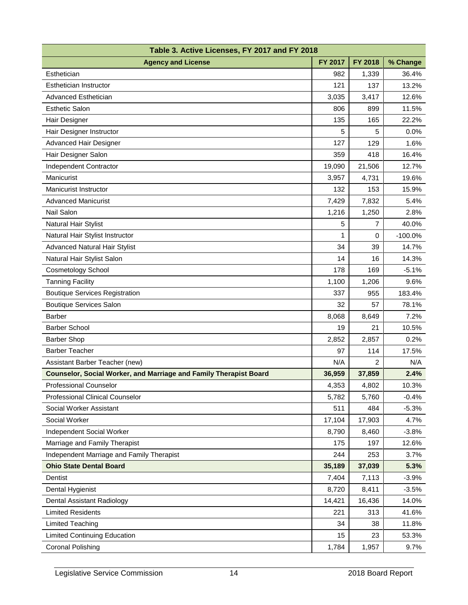| Table 3. Active Licenses, FY 2017 and FY 2018                     |         |                |           |  |  |  |
|-------------------------------------------------------------------|---------|----------------|-----------|--|--|--|
| <b>Agency and License</b>                                         | FY 2017 | FY 2018        | % Change  |  |  |  |
| Esthetician                                                       | 982     | 1,339          | 36.4%     |  |  |  |
| <b>Esthetician Instructor</b>                                     | 121     | 137            | 13.2%     |  |  |  |
| Advanced Esthetician                                              | 3,035   | 3,417          | 12.6%     |  |  |  |
| <b>Esthetic Salon</b>                                             | 806     | 899            | 11.5%     |  |  |  |
| Hair Designer                                                     | 135     | 165            | 22.2%     |  |  |  |
| Hair Designer Instructor                                          | 5       | 5              | 0.0%      |  |  |  |
| Advanced Hair Designer                                            | 127     | 129            | 1.6%      |  |  |  |
| Hair Designer Salon                                               | 359     | 418            | 16.4%     |  |  |  |
| Independent Contractor                                            | 19,090  | 21,506         | 12.7%     |  |  |  |
| Manicurist                                                        | 3,957   | 4,731          | 19.6%     |  |  |  |
| Manicurist Instructor                                             | 132     | 153            | 15.9%     |  |  |  |
| <b>Advanced Manicurist</b>                                        | 7,429   | 7,832          | 5.4%      |  |  |  |
| <b>Nail Salon</b>                                                 | 1,216   | 1,250          | 2.8%      |  |  |  |
| Natural Hair Stylist                                              | 5       | $\overline{7}$ | 40.0%     |  |  |  |
| Natural Hair Stylist Instructor                                   | 1       | 0              | $-100.0%$ |  |  |  |
| <b>Advanced Natural Hair Stylist</b>                              | 34      | 39             | 14.7%     |  |  |  |
| Natural Hair Stylist Salon                                        | 14      | 16             | 14.3%     |  |  |  |
| <b>Cosmetology School</b>                                         | 178     | 169            | $-5.1%$   |  |  |  |
| <b>Tanning Facility</b>                                           | 1,100   | 1,206          | 9.6%      |  |  |  |
| <b>Boutique Services Registration</b>                             | 337     | 955            | 183.4%    |  |  |  |
| <b>Boutique Services Salon</b>                                    | 32      | 57             | 78.1%     |  |  |  |
| <b>Barber</b>                                                     | 8,068   | 8,649          | 7.2%      |  |  |  |
| <b>Barber School</b>                                              | 19      | 21             | 10.5%     |  |  |  |
| <b>Barber Shop</b>                                                | 2,852   | 2,857          | 0.2%      |  |  |  |
| <b>Barber Teacher</b>                                             | 97      | 114            | 17.5%     |  |  |  |
| Assistant Barber Teacher (new)                                    | N/A     | 2              | N/A       |  |  |  |
| Counselor, Social Worker, and Marriage and Family Therapist Board | 36,959  | 37,859         | 2.4%      |  |  |  |
| <b>Professional Counselor</b>                                     | 4,353   | 4,802          | 10.3%     |  |  |  |
| Professional Clinical Counselor                                   | 5,782   | 5,760          | $-0.4%$   |  |  |  |
| Social Worker Assistant                                           | 511     | 484            | $-5.3%$   |  |  |  |
| Social Worker                                                     | 17,104  | 17,903         | 4.7%      |  |  |  |
| Independent Social Worker                                         | 8,790   | 8,460          | $-3.8%$   |  |  |  |
| Marriage and Family Therapist                                     | 175     | 197            | 12.6%     |  |  |  |
| Independent Marriage and Family Therapist                         | 244     | 253            | 3.7%      |  |  |  |
| <b>Ohio State Dental Board</b>                                    | 35,189  | 37,039         | 5.3%      |  |  |  |
| Dentist                                                           | 7,404   | 7,113          | $-3.9%$   |  |  |  |
| Dental Hygienist                                                  | 8,720   | 8,411          | $-3.5%$   |  |  |  |
| Dental Assistant Radiology                                        | 14,421  | 16,436         | 14.0%     |  |  |  |
| <b>Limited Residents</b>                                          | 221     | 313            | 41.6%     |  |  |  |
| <b>Limited Teaching</b>                                           | 34      | 38             | 11.8%     |  |  |  |
| <b>Limited Continuing Education</b>                               | 15      | 23             | 53.3%     |  |  |  |
| <b>Coronal Polishing</b>                                          | 1,784   | 1,957          | 9.7%      |  |  |  |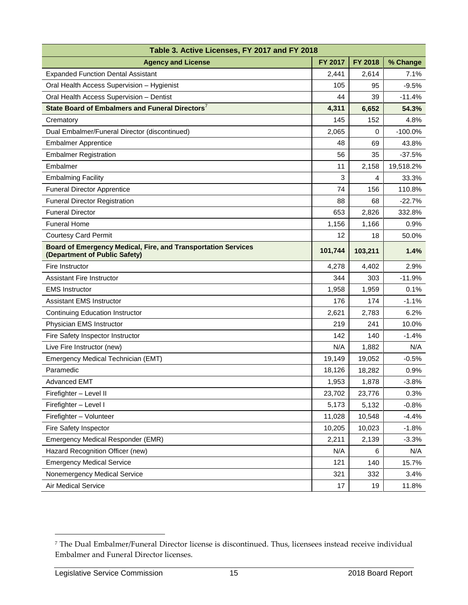| Table 3. Active Licenses, FY 2017 and FY 2018                                                         |                |         |           |  |  |  |
|-------------------------------------------------------------------------------------------------------|----------------|---------|-----------|--|--|--|
| <b>Agency and License</b>                                                                             | <b>FY 2017</b> | FY 2018 | % Change  |  |  |  |
| <b>Expanded Function Dental Assistant</b>                                                             | 2,441          | 2,614   | 7.1%      |  |  |  |
| Oral Health Access Supervision - Hygienist                                                            | 105            | 95      | $-9.5%$   |  |  |  |
| Oral Health Access Supervision - Dentist                                                              | 44             | 39      | $-11.4%$  |  |  |  |
| State Board of Embalmers and Funeral Directors <sup>7</sup>                                           | 4,311          | 6,652   | 54.3%     |  |  |  |
| Crematory                                                                                             | 145            | 152     | 4.8%      |  |  |  |
| Dual Embalmer/Funeral Director (discontinued)                                                         | 2,065          | 0       | $-100.0%$ |  |  |  |
| <b>Embalmer Apprentice</b>                                                                            | 48             | 69      | 43.8%     |  |  |  |
| <b>Embalmer Registration</b>                                                                          | 56             | 35      | $-37.5%$  |  |  |  |
| Embalmer                                                                                              | 11             | 2,158   | 19,518.2% |  |  |  |
| <b>Embalming Facility</b>                                                                             | 3              | 4       | 33.3%     |  |  |  |
| <b>Funeral Director Apprentice</b>                                                                    | 74             | 156     | 110.8%    |  |  |  |
| <b>Funeral Director Registration</b>                                                                  | 88             | 68      | $-22.7%$  |  |  |  |
| <b>Funeral Director</b>                                                                               | 653            | 2,826   | 332.8%    |  |  |  |
| <b>Funeral Home</b>                                                                                   | 1,156          | 1,166   | 0.9%      |  |  |  |
| <b>Courtesy Card Permit</b>                                                                           | 12             | 18      | 50.0%     |  |  |  |
| <b>Board of Emergency Medical, Fire, and Transportation Services</b><br>(Department of Public Safety) | 101,744        | 103,211 | 1.4%      |  |  |  |
| Fire Instructor                                                                                       | 4,278          | 4,402   | 2.9%      |  |  |  |
| <b>Assistant Fire Instructor</b>                                                                      | 344            | 303     | $-11.9%$  |  |  |  |
| <b>EMS Instructor</b>                                                                                 | 1,958          | 1,959   | 0.1%      |  |  |  |
| <b>Assistant EMS Instructor</b>                                                                       | 176            | 174     | $-1.1%$   |  |  |  |
| <b>Continuing Education Instructor</b>                                                                | 2,621          | 2,783   | 6.2%      |  |  |  |
| Physician EMS Instructor                                                                              | 219            | 241     | 10.0%     |  |  |  |
| Fire Safety Inspector Instructor                                                                      | 142            | 140     | $-1.4%$   |  |  |  |
| Live Fire Instructor (new)                                                                            | N/A            | 1,882   | N/A       |  |  |  |
| Emergency Medical Technician (EMT)                                                                    | 19,149         | 19,052  | $-0.5%$   |  |  |  |
| Paramedic                                                                                             | 18,126         | 18,282  | $0.9\%$   |  |  |  |
| <b>Advanced EMT</b>                                                                                   | 1,953          | 1,878   | $-3.8%$   |  |  |  |
| Firefighter - Level II                                                                                | 23,702         | 23,776  | 0.3%      |  |  |  |
| Firefighter - Level I                                                                                 | 5,173          | 5,132   | $-0.8%$   |  |  |  |
| Firefighter - Volunteer                                                                               | 11,028         | 10,548  | $-4.4%$   |  |  |  |
| Fire Safety Inspector                                                                                 | 10,205         | 10,023  | $-1.8%$   |  |  |  |
| Emergency Medical Responder (EMR)                                                                     | 2,211          | 2,139   | $-3.3%$   |  |  |  |
| Hazard Recognition Officer (new)                                                                      | N/A            | 6       | N/A       |  |  |  |
| <b>Emergency Medical Service</b>                                                                      | 121            | 140     | 15.7%     |  |  |  |
| Nonemergency Medical Service                                                                          | 321            | 332     | 3.4%      |  |  |  |
| Air Medical Service                                                                                   | 17             | 19      | 11.8%     |  |  |  |

<sup>7</sup> The Dual Embalmer/Funeral Director license is discontinued. Thus, licensees instead receive individual Embalmer and Funeral Director licenses.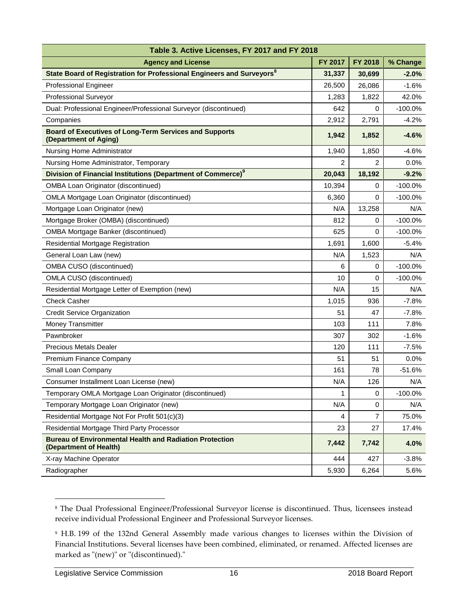| Table 3. Active Licenses, FY 2017 and FY 2018                                            |                |                |            |  |  |  |
|------------------------------------------------------------------------------------------|----------------|----------------|------------|--|--|--|
| <b>Agency and License</b>                                                                | <b>FY 2017</b> | <b>FY 2018</b> | % Change   |  |  |  |
| State Board of Registration for Professional Engineers and Surveyors <sup>8</sup>        | 31,337         | 30,699         | $-2.0\%$   |  |  |  |
| <b>Professional Engineer</b>                                                             | 26,500         | 26,086         | $-1.6%$    |  |  |  |
| Professional Surveyor                                                                    | 1,283          | 1,822          | 42.0%      |  |  |  |
| Dual: Professional Engineer/Professional Surveyor (discontinued)                         | 642            | 0              | $-100.0\%$ |  |  |  |
| Companies                                                                                | 2,912          | 2,791          | $-4.2%$    |  |  |  |
| <b>Board of Executives of Long-Term Services and Supports</b><br>(Department of Aging)   | 1,942          | 1,852          | $-4.6%$    |  |  |  |
| Nursing Home Administrator                                                               | 1,940          | 1,850          | $-4.6%$    |  |  |  |
| Nursing Home Administrator, Temporary                                                    | 2              | $\overline{c}$ | 0.0%       |  |  |  |
| Division of Financial Institutions (Department of Commerce) <sup>9</sup>                 | 20,043         | 18,192         | $-9.2%$    |  |  |  |
| <b>OMBA Loan Originator (discontinued)</b>                                               | 10,394         | 0              | $-100.0%$  |  |  |  |
| <b>OMLA Mortgage Loan Originator (discontinued)</b>                                      | 6,360          | 0              | $-100.0\%$ |  |  |  |
| Mortgage Loan Originator (new)                                                           | N/A            | 13,258         | N/A        |  |  |  |
| Mortgage Broker (OMBA) (discontinued)                                                    | 812            | 0              | $-100.0\%$ |  |  |  |
| <b>OMBA Mortgage Banker (discontinued)</b>                                               | 625            | $\Omega$       | $-100.0%$  |  |  |  |
| Residential Mortgage Registration                                                        | 1,691          | 1,600          | $-5.4\%$   |  |  |  |
| General Loan Law (new)                                                                   | N/A            | 1,523          | N/A        |  |  |  |
| OMBA CUSO (discontinued)                                                                 | 6              | 0              | $-100.0%$  |  |  |  |
| OMLA CUSO (discontinued)                                                                 | 10             | 0              | $-100.0%$  |  |  |  |
| Residential Mortgage Letter of Exemption (new)                                           | N/A            | 15             | N/A        |  |  |  |
| <b>Check Casher</b>                                                                      | 1,015          | 936            | $-7.8%$    |  |  |  |
| <b>Credit Service Organization</b>                                                       | 51             | 47             | $-7.8%$    |  |  |  |
| Money Transmitter                                                                        | 103            | 111            | 7.8%       |  |  |  |
| Pawnbroker                                                                               | 307            | 302            | $-1.6%$    |  |  |  |
| <b>Precious Metals Dealer</b>                                                            | 120            | 111            | $-7.5%$    |  |  |  |
| Premium Finance Company                                                                  | 51             | 51             | 0.0%       |  |  |  |
| Small Loan Company                                                                       | 161            | 78             | $-51.6%$   |  |  |  |
| Consumer Installment Loan License (new)                                                  | N/A            | 126            | N/A        |  |  |  |
| Temporary OMLA Mortgage Loan Originator (discontinued)                                   | 1              | 0              | $-100.0%$  |  |  |  |
| Temporary Mortgage Loan Originator (new)                                                 | N/A            | $\mathbf 0$    | N/A        |  |  |  |
| Residential Mortgage Not For Profit 501(c)(3)                                            | 4              | 7              | 75.0%      |  |  |  |
| Residential Mortgage Third Party Processor                                               | 23             | 27             | 17.4%      |  |  |  |
| <b>Bureau of Environmental Health and Radiation Protection</b><br>(Department of Health) | 7,442          | 7,742          | 4.0%       |  |  |  |
| X-ray Machine Operator                                                                   | 444            | 427            | $-3.8%$    |  |  |  |
| Radiographer                                                                             | 5,930          | 6,264          | 5.6%       |  |  |  |

<sup>8</sup> The Dual Professional Engineer/Professional Surveyor license is discontinued. Thus, licensees instead receive individual Professional Engineer and Professional Surveyor licenses.

<sup>9</sup> H.B. 199 of the 132nd General Assembly made various changes to licenses within the Division of Financial Institutions. Several licenses have been combined, eliminated, or renamed. Affected licenses are marked as "(new)" or "(discontinued)."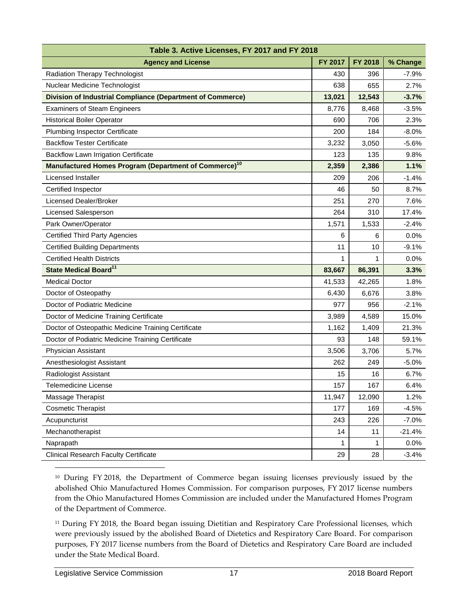| Table 3. Active Licenses, FY 2017 and FY 2018                           |         |         |          |
|-------------------------------------------------------------------------|---------|---------|----------|
| <b>Agency and License</b>                                               | FY 2017 | FY 2018 | % Change |
| Radiation Therapy Technologist                                          | 430     | 396     | $-7.9%$  |
| Nuclear Medicine Technologist                                           | 638     | 655     | 2.7%     |
| <b>Division of Industrial Compliance (Department of Commerce)</b>       | 13,021  | 12,543  | $-3.7%$  |
| <b>Examiners of Steam Engineers</b>                                     | 8,776   | 8,468   | $-3.5%$  |
| <b>Historical Boiler Operator</b>                                       | 690     | 706     | 2.3%     |
| <b>Plumbing Inspector Certificate</b>                                   | 200     | 184     | $-8.0%$  |
| <b>Backflow Tester Certificate</b>                                      | 3,232   | 3,050   | $-5.6%$  |
| <b>Backflow Lawn Irrigation Certificate</b>                             | 123     | 135     | 9.8%     |
| <b>Manufactured Homes Program (Department of Commerce)<sup>10</sup></b> | 2,359   | 2,386   | 1.1%     |
| Licensed Installer                                                      | 209     | 206     | $-1.4%$  |
| Certified Inspector                                                     | 46      | 50      | 8.7%     |
| <b>Licensed Dealer/Broker</b>                                           | 251     | 270     | 7.6%     |
| <b>Licensed Salesperson</b>                                             | 264     | 310     | 17.4%    |
| Park Owner/Operator                                                     | 1,571   | 1,533   | $-2.4%$  |
| <b>Certified Third Party Agencies</b>                                   | 6       | 6       | 0.0%     |
| <b>Certified Building Departments</b>                                   | 11      | 10      | $-9.1%$  |
| <b>Certified Health Districts</b>                                       | 1       | 1       | 0.0%     |
| State Medical Board <sup>11</sup>                                       | 83,667  | 86,391  | 3.3%     |
| <b>Medical Doctor</b>                                                   | 41,533  | 42,265  | 1.8%     |
| Doctor of Osteopathy                                                    | 6,430   | 6,676   | 3.8%     |
| Doctor of Podiatric Medicine                                            | 977     | 956     | $-2.1%$  |
| Doctor of Medicine Training Certificate                                 | 3,989   | 4,589   | 15.0%    |
| Doctor of Osteopathic Medicine Training Certificate                     | 1,162   | 1,409   | 21.3%    |
| Doctor of Podiatric Medicine Training Certificate                       | 93      | 148     | 59.1%    |
| Physician Assistant                                                     | 3,506   | 3,706   | 5.7%     |
| Anesthesiologist Assistant                                              | 262     | 249     | $-5.0%$  |
| Radiologist Assistant                                                   | 15      | 16      | 6.7%     |
| Telemedicine License                                                    | 157     | 167     | 6.4%     |
| Massage Therapist                                                       | 11,947  | 12,090  | 1.2%     |
| <b>Cosmetic Therapist</b>                                               | 177     | 169     | $-4.5%$  |
| Acupuncturist                                                           | 243     | 226     | $-7.0%$  |
| Mechanotherapist                                                        | 14      | 11      | $-21.4%$ |
| Naprapath                                                               | 1       | 1       | 0.0%     |
| <b>Clinical Research Faculty Certificate</b>                            | 29      | 28      | $-3.4%$  |

<sup>10</sup> During FY 2018, the Department of Commerce began issuing licenses previously issued by the abolished Ohio Manufactured Homes Commission. For comparison purposes, FY 2017 license numbers from the Ohio Manufactured Homes Commission are included under the Manufactured Homes Program of the Department of Commerce.

<sup>11</sup> During FY 2018, the Board began issuing Dietitian and Respiratory Care Professional licenses, which were previously issued by the abolished Board of Dietetics and Respiratory Care Board. For comparison purposes, FY 2017 license numbers from the Board of Dietetics and Respiratory Care Board are included under the State Medical Board.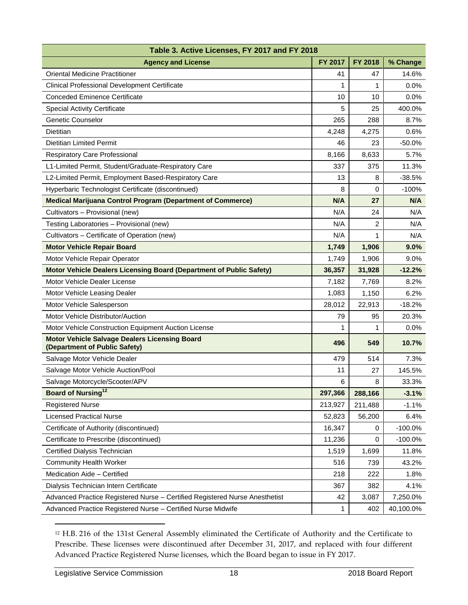| Table 3. Active Licenses, FY 2017 and FY 2018                                         |                |         |           |
|---------------------------------------------------------------------------------------|----------------|---------|-----------|
| <b>Agency and License</b>                                                             | <b>FY 2017</b> | FY 2018 | % Change  |
| <b>Oriental Medicine Practitioner</b>                                                 | 41             | 47      | 14.6%     |
| Clinical Professional Development Certificate                                         | 1              | 1       | 0.0%      |
| <b>Conceded Eminence Certificate</b>                                                  | 10             | 10      | 0.0%      |
| <b>Special Activity Certificate</b>                                                   | 5              | 25      | 400.0%    |
| <b>Genetic Counselor</b>                                                              | 265            | 288     | 8.7%      |
| Dietitian                                                                             | 4,248          | 4,275   | 0.6%      |
| <b>Dietitian Limited Permit</b>                                                       | 46             | 23      | $-50.0%$  |
| Respiratory Care Professional                                                         | 8,166          | 8,633   | 5.7%      |
| L1-Limited Permit, Student/Graduate-Respiratory Care                                  | 337            | 375     | 11.3%     |
| L2-Limited Permit, Employment Based-Respiratory Care                                  | 13             | 8       | $-38.5%$  |
| Hyperbaric Technologist Certificate (discontinued)                                    | 8              | 0       | $-100%$   |
| <b>Medical Marijuana Control Program (Department of Commerce)</b>                     | N/A            | 27      | N/A       |
| Cultivators - Provisional (new)                                                       | N/A            | 24      | N/A       |
| Testing Laboratories - Provisional (new)                                              | N/A            | 2       | N/A       |
| Cultivators - Certificate of Operation (new)                                          | N/A            | 1       | N/A       |
| <b>Motor Vehicle Repair Board</b>                                                     | 1,749          | 1,906   | 9.0%      |
| Motor Vehicle Repair Operator                                                         | 1,749          | 1,906   | 9.0%      |
| Motor Vehicle Dealers Licensing Board (Department of Public Safety)                   | 36,357         | 31,928  | $-12.2%$  |
| Motor Vehicle Dealer License                                                          | 7,182          | 7,769   | 8.2%      |
| Motor Vehicle Leasing Dealer                                                          | 1,083          | 1,150   | 6.2%      |
| Motor Vehicle Salesperson                                                             | 28,012         | 22,913  | $-18.2%$  |
| Motor Vehicle Distributor/Auction                                                     | 79             | 95      | 20.3%     |
| Motor Vehicle Construction Equipment Auction License                                  | 1              | 1       | 0.0%      |
| <b>Motor Vehicle Salvage Dealers Licensing Board</b><br>(Department of Public Safety) | 496            | 549     | 10.7%     |
| Salvage Motor Vehicle Dealer                                                          | 479            | 514     | 7.3%      |
| Salvage Motor Vehicle Auction/Pool                                                    | 11             | 27      | 145.5%    |
| Salvage Motorcycle/Scooter/APV                                                        | 6              | 8       | 33.3%     |
| <b>Board of Nursing</b> <sup>12</sup>                                                 | 297,366        | 288,166 | $-3.1%$   |
| <b>Registered Nurse</b>                                                               | 213,927        | 211,488 | $-1.1%$   |
| <b>Licensed Practical Nurse</b>                                                       | 52,823         | 56,200  | 6.4%      |
| Certificate of Authority (discontinued)                                               | 16,347         | 0       | $-100.0%$ |
| Certificate to Prescribe (discontinued)                                               | 11,236         | 0       | $-100.0%$ |
| Certified Dialysis Technician                                                         | 1,519          | 1,699   | 11.8%     |
| <b>Community Health Worker</b>                                                        | 516            | 739     | 43.2%     |
| Medication Aide - Certified                                                           | 218            | 222     | 1.8%      |
| Dialysis Technician Intern Certificate                                                | 367            | 382     | 4.1%      |
| Advanced Practice Registered Nurse - Certified Registered Nurse Anesthetist           | 42             | 3,087   | 7,250.0%  |
| Advanced Practice Registered Nurse - Certified Nurse Midwife                          | 1              | 402     | 40,100.0% |

<sup>12</sup> H.B. 216 of the 131st General Assembly eliminated the Certificate of Authority and the Certificate to Prescribe. These licenses were discontinued after December 31, 2017, and replaced with four different Advanced Practice Registered Nurse licenses, which the Board began to issue in FY 2017.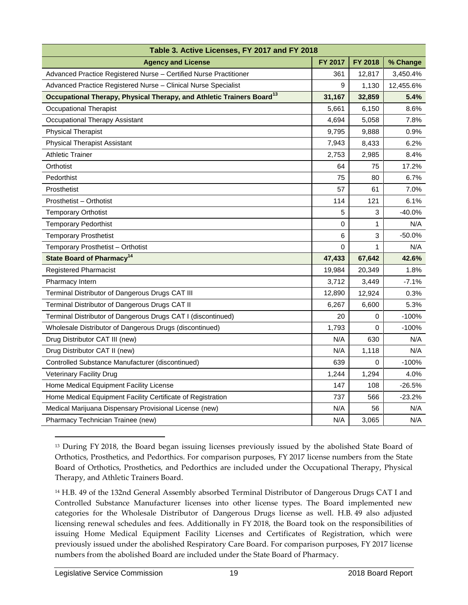| Table 3. Active Licenses, FY 2017 and FY 2018                                     |                |         |           |
|-----------------------------------------------------------------------------------|----------------|---------|-----------|
| <b>Agency and License</b>                                                         | <b>FY 2017</b> | FY 2018 | % Change  |
| Advanced Practice Registered Nurse - Certified Nurse Practitioner                 | 361            | 12,817  | 3,450.4%  |
| Advanced Practice Registered Nurse - Clinical Nurse Specialist                    | 9              | 1,130   | 12,455.6% |
| Occupational Therapy, Physical Therapy, and Athletic Trainers Board <sup>13</sup> | 31,167         | 32,859  | $5.4\%$   |
| <b>Occupational Therapist</b>                                                     | 5,661          | 6,150   | 8.6%      |
| Occupational Therapy Assistant                                                    | 4,694          | 5,058   | 7.8%      |
| <b>Physical Therapist</b>                                                         | 9,795          | 9,888   | 0.9%      |
| <b>Physical Therapist Assistant</b>                                               | 7,943          | 8,433   | 6.2%      |
| <b>Athletic Trainer</b>                                                           | 2,753          | 2,985   | 8.4%      |
| Orthotist                                                                         | 64             | 75      | 17.2%     |
| Pedorthist                                                                        | 75             | 80      | 6.7%      |
| Prosthetist                                                                       | 57             | 61      | 7.0%      |
| Prosthetist - Orthotist                                                           | 114            | 121     | 6.1%      |
| <b>Temporary Orthotist</b>                                                        | 5              | 3       | $-40.0%$  |
| <b>Temporary Pedorthist</b>                                                       | 0              | 1       | N/A       |
| <b>Temporary Prosthetist</b>                                                      | 6              | 3       | $-50.0%$  |
| Temporary Prosthetist - Orthotist                                                 | 0              | 1       | N/A       |
| <b>State Board of Pharmacy<sup>14</sup></b>                                       | 47,433         | 67,642  | 42.6%     |
| <b>Registered Pharmacist</b>                                                      | 19,984         | 20,349  | 1.8%      |
| Pharmacy Intern                                                                   | 3,712          | 3,449   | $-7.1%$   |
| Terminal Distributor of Dangerous Drugs CAT III                                   | 12,890         | 12,924  | 0.3%      |
| Terminal Distributor of Dangerous Drugs CAT II                                    | 6,267          | 6,600   | 5.3%      |
| Terminal Distributor of Dangerous Drugs CAT I (discontinued)                      | 20             | 0       | $-100%$   |
| Wholesale Distributor of Dangerous Drugs (discontinued)                           | 1,793          | 0       | $-100%$   |
| Drug Distributor CAT III (new)                                                    | N/A            | 630     | N/A       |
| Drug Distributor CAT II (new)                                                     | N/A            | 1,118   | N/A       |
| Controlled Substance Manufacturer (discontinued)                                  | 639            | 0       | $-100%$   |
| Veterinary Facility Drug                                                          | 1,244          | 1,294   | 4.0%      |
| Home Medical Equipment Facility License                                           | 147            | 108     | -26.5%    |
| Home Medical Equipment Facility Certificate of Registration                       | 737            | 566     | $-23.2%$  |
| Medical Marijuana Dispensary Provisional License (new)                            | N/A            | 56      | N/A       |
| Pharmacy Technician Trainee (new)                                                 | N/A            | 3,065   | N/A       |

 $\overline{a}$ <sup>13</sup> During FY 2018, the Board began issuing licenses previously issued by the abolished State Board of Orthotics, Prosthetics, and Pedorthics. For comparison purposes, FY 2017 license numbers from the State Board of Orthotics, Prosthetics, and Pedorthics are included under the Occupational Therapy, Physical Therapy, and Athletic Trainers Board.

<sup>14</sup> H.B. 49 of the 132nd General Assembly absorbed Terminal Distributor of Dangerous Drugs CAT I and Controlled Substance Manufacturer licenses into other license types. The Board implemented new categories for the Wholesale Distributor of Dangerous Drugs license as well. H.B. 49 also adjusted licensing renewal schedules and fees. Additionally in FY 2018, the Board took on the responsibilities of issuing Home Medical Equipment Facility Licenses and Certificates of Registration, which were previously issued under the abolished Respiratory Care Board. For comparison purposes, FY 2017 license numbers from the abolished Board are included under the State Board of Pharmacy.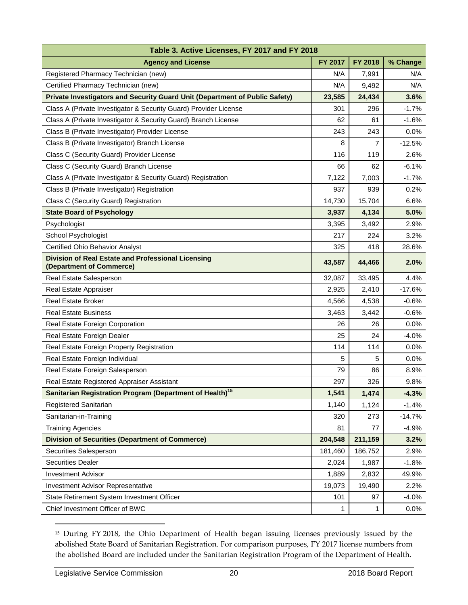| Table 3. Active Licenses, FY 2017 and FY 2018                                         |         |         |          |
|---------------------------------------------------------------------------------------|---------|---------|----------|
| <b>Agency and License</b>                                                             | FY 2017 | FY 2018 | % Change |
| Registered Pharmacy Technician (new)                                                  | N/A     | 7,991   | N/A      |
| Certified Pharmacy Technician (new)                                                   | N/A     | 9,492   | N/A      |
| Private Investigators and Security Guard Unit (Department of Public Safety)           | 23,585  | 24,434  | 3.6%     |
| Class A (Private Investigator & Security Guard) Provider License                      | 301     | 296     | $-1.7%$  |
| Class A (Private Investigator & Security Guard) Branch License                        | 62      | 61      | $-1.6%$  |
| Class B (Private Investigator) Provider License                                       | 243     | 243     | 0.0%     |
| Class B (Private Investigator) Branch License                                         | 8       | 7       | $-12.5%$ |
| Class C (Security Guard) Provider License                                             | 116     | 119     | 2.6%     |
| Class C (Security Guard) Branch License                                               | 66      | 62      | $-6.1%$  |
| Class A (Private Investigator & Security Guard) Registration                          | 7,122   | 7,003   | $-1.7%$  |
| Class B (Private Investigator) Registration                                           | 937     | 939     | 0.2%     |
| Class C (Security Guard) Registration                                                 | 14,730  | 15,704  | 6.6%     |
| <b>State Board of Psychology</b>                                                      | 3,937   | 4,134   | 5.0%     |
| Psychologist                                                                          | 3,395   | 3,492   | 2.9%     |
| School Psychologist                                                                   | 217     | 224     | 3.2%     |
| <b>Certified Ohio Behavior Analyst</b>                                                | 325     | 418     | 28.6%    |
| <b>Division of Real Estate and Professional Licensing</b><br>(Department of Commerce) | 43,587  | 44,466  | 2.0%     |
| Real Estate Salesperson                                                               | 32,087  | 33,495  | 4.4%     |
| Real Estate Appraiser                                                                 | 2,925   | 2,410   | $-17.6%$ |
| <b>Real Estate Broker</b>                                                             | 4,566   | 4,538   | $-0.6%$  |
| <b>Real Estate Business</b>                                                           | 3,463   | 3,442   | $-0.6%$  |
| Real Estate Foreign Corporation                                                       | 26      | 26      | 0.0%     |
| Real Estate Foreign Dealer                                                            | 25      | 24      | $-4.0%$  |
| Real Estate Foreign Property Registration                                             | 114     | 114     | 0.0%     |
| Real Estate Foreign Individual                                                        | 5       | 5       | 0.0%     |
| Real Estate Foreign Salesperson                                                       | 79      | 86      | 8.9%     |
| Real Estate Registered Appraiser Assistant                                            | 297     | 326     | 9.8%     |
| Sanitarian Registration Program (Department of Health) <sup>15</sup>                  | 1,541   | 1,474   | $-4.3%$  |
| Registered Sanitarian                                                                 | 1,140   | 1,124   | $-1.4%$  |
| Sanitarian-in-Training                                                                | 320     | 273     | $-14.7%$ |
| <b>Training Agencies</b>                                                              | 81      | 77      | $-4.9%$  |
| <b>Division of Securities (Department of Commerce)</b>                                | 204,548 | 211,159 | 3.2%     |
| Securities Salesperson                                                                | 181,460 | 186,752 | 2.9%     |
| <b>Securities Dealer</b>                                                              | 2,024   | 1,987   | $-1.8%$  |
| <b>Investment Advisor</b>                                                             | 1,889   | 2,832   | 49.9%    |
| <b>Investment Advisor Representative</b>                                              | 19,073  | 19,490  | 2.2%     |
| State Retirement System Investment Officer                                            | 101     | 97      | $-4.0%$  |
| Chief Investment Officer of BWC                                                       | 1       | 1       | $0.0\%$  |

<sup>&</sup>lt;sup>15</sup> During FY 2018, the Ohio Department of Health began issuing licenses previously issued by the abolished State Board of Sanitarian Registration. For comparison purposes, FY 2017 license numbers from the abolished Board are included under the Sanitarian Registration Program of the Department of Health.